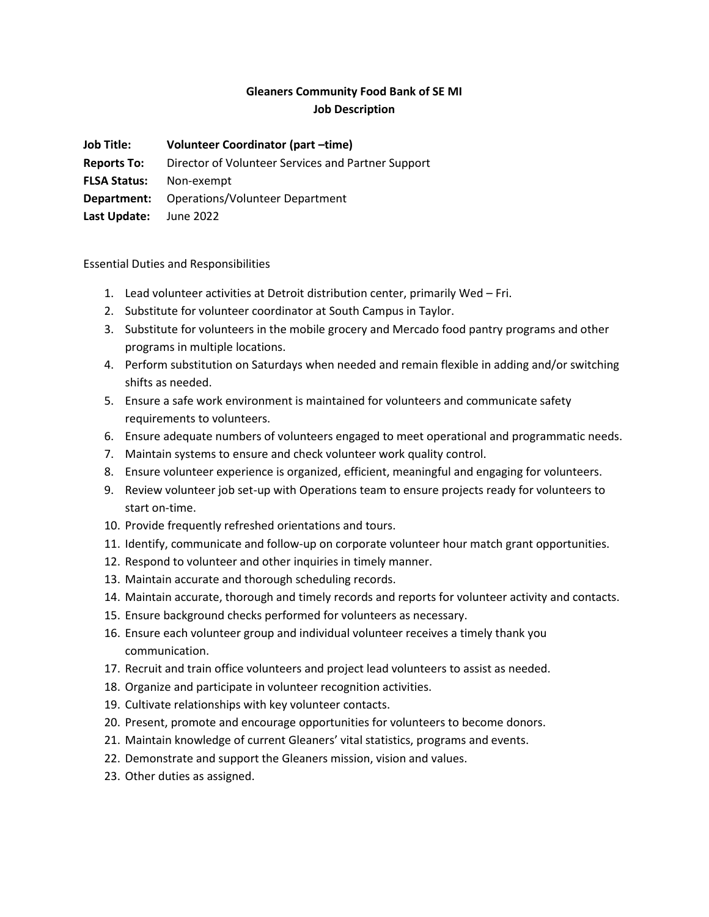# **Gleaners Community Food Bank of SE MI Job Description**

**Job Title: Volunteer Coordinator (part –time)**

**Reports To:** Director of Volunteer Services and Partner Support

**FLSA Status:** Non-exempt

**Department:** Operations/Volunteer Department

**Last Update:** June 2022

Essential Duties and Responsibilities

- 1. Lead volunteer activities at Detroit distribution center, primarily Wed Fri.
- 2. Substitute for volunteer coordinator at South Campus in Taylor.
- 3. Substitute for volunteers in the mobile grocery and Mercado food pantry programs and other programs in multiple locations.
- 4. Perform substitution on Saturdays when needed and remain flexible in adding and/or switching shifts as needed.
- 5. Ensure a safe work environment is maintained for volunteers and communicate safety requirements to volunteers.
- 6. Ensure adequate numbers of volunteers engaged to meet operational and programmatic needs.
- 7. Maintain systems to ensure and check volunteer work quality control.
- 8. Ensure volunteer experience is organized, efficient, meaningful and engaging for volunteers.
- 9. Review volunteer job set-up with Operations team to ensure projects ready for volunteers to start on-time.
- 10. Provide frequently refreshed orientations and tours.
- 11. Identify, communicate and follow-up on corporate volunteer hour match grant opportunities.
- 12. Respond to volunteer and other inquiries in timely manner.
- 13. Maintain accurate and thorough scheduling records.
- 14. Maintain accurate, thorough and timely records and reports for volunteer activity and contacts.
- 15. Ensure background checks performed for volunteers as necessary.
- 16. Ensure each volunteer group and individual volunteer receives a timely thank you communication.
- 17. Recruit and train office volunteers and project lead volunteers to assist as needed.
- 18. Organize and participate in volunteer recognition activities.
- 19. Cultivate relationships with key volunteer contacts.
- 20. Present, promote and encourage opportunities for volunteers to become donors.
- 21. Maintain knowledge of current Gleaners' vital statistics, programs and events.
- 22. Demonstrate and support the Gleaners mission, vision and values.
- 23. Other duties as assigned.